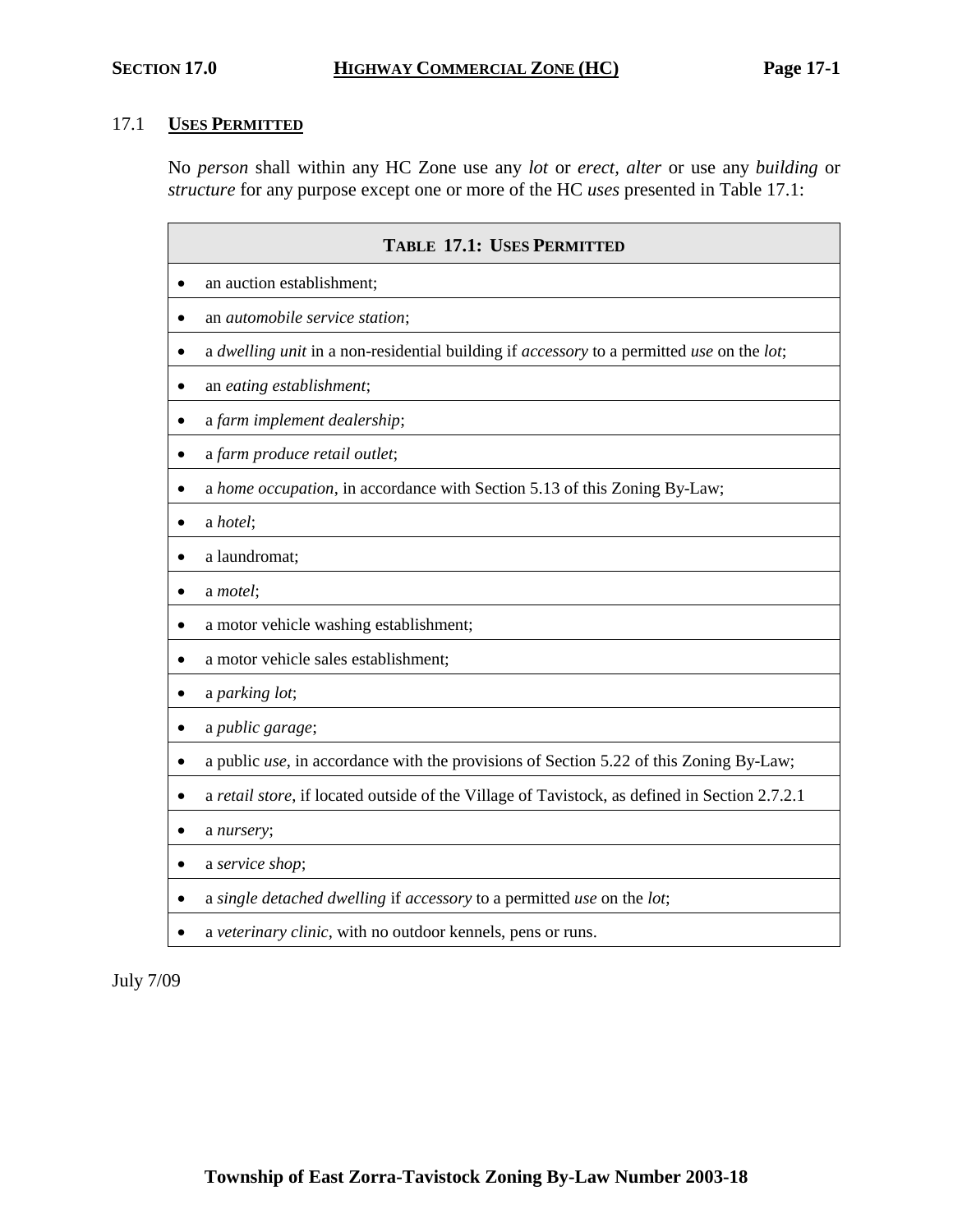## 17.1 **USES PERMITTED**

No *person* shall within any HC Zone use any *lot* or *erect, alter* or use any *building* or *structure* for any purpose except one or more of the HC *uses* presented in Table 17.1:

| <b>TABLE 17.1: USES PERMITTED</b>                                                                           |  |  |  |  |  |  |
|-------------------------------------------------------------------------------------------------------------|--|--|--|--|--|--|
| an auction establishment;                                                                                   |  |  |  |  |  |  |
| an <i>automobile</i> service station;                                                                       |  |  |  |  |  |  |
| a dwelling unit in a non-residential building if accessory to a permitted use on the lot;                   |  |  |  |  |  |  |
| an eating establishment;<br>$\bullet$                                                                       |  |  |  |  |  |  |
| a farm implement dealership;<br>٠                                                                           |  |  |  |  |  |  |
| a farm produce retail outlet;<br>$\bullet$                                                                  |  |  |  |  |  |  |
| a home occupation, in accordance with Section 5.13 of this Zoning By-Law;                                   |  |  |  |  |  |  |
| a hotel;                                                                                                    |  |  |  |  |  |  |
| a laundromat;                                                                                               |  |  |  |  |  |  |
| a motel;                                                                                                    |  |  |  |  |  |  |
| a motor vehicle washing establishment;<br>$\bullet$                                                         |  |  |  |  |  |  |
| a motor vehicle sales establishment;                                                                        |  |  |  |  |  |  |
| a parking lot;                                                                                              |  |  |  |  |  |  |
| a public garage;                                                                                            |  |  |  |  |  |  |
| a public <i>use</i> , in accordance with the provisions of Section 5.22 of this Zoning By-Law;<br>$\bullet$ |  |  |  |  |  |  |
| a retail store, if located outside of the Village of Tavistock, as defined in Section 2.7.2.1               |  |  |  |  |  |  |
| a nursery;                                                                                                  |  |  |  |  |  |  |
| a service shop;                                                                                             |  |  |  |  |  |  |
| a single detached dwelling if accessory to a permitted use on the lot;                                      |  |  |  |  |  |  |
| a veterinary clinic, with no outdoor kennels, pens or runs.                                                 |  |  |  |  |  |  |

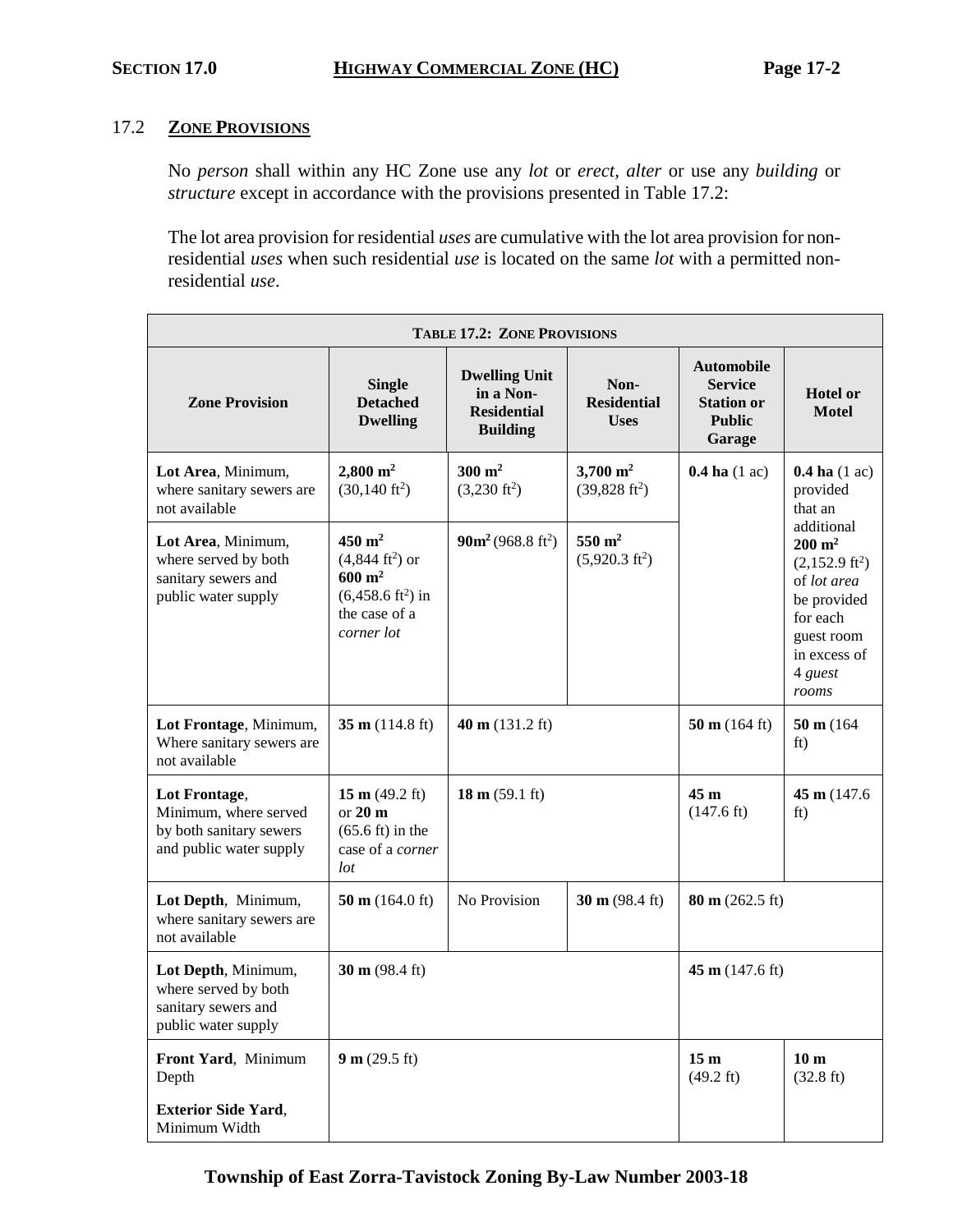### 17.2 **ZONE PROVISIONS**

No *person* shall within any HC Zone use any *lot* or *erect, alter* or use any *building* or *structure* except in accordance with the provisions presented in Table 17.2:

The lot area provision for residential *uses* are cumulative with the lot area provision for nonresidential *uses* when such residential *use* is located on the same *lot* with a permitted nonresidential *use*.

| <b>TABLE 17.2: ZONE PROVISIONS</b>                                                           |                                                                                                                                   |                                                                            |                                                   |                                                                                     |                                                                                                                                                                                                     |  |  |  |
|----------------------------------------------------------------------------------------------|-----------------------------------------------------------------------------------------------------------------------------------|----------------------------------------------------------------------------|---------------------------------------------------|-------------------------------------------------------------------------------------|-----------------------------------------------------------------------------------------------------------------------------------------------------------------------------------------------------|--|--|--|
| <b>Zone Provision</b>                                                                        | <b>Single</b><br><b>Detached</b><br><b>Dwelling</b>                                                                               | <b>Dwelling Unit</b><br>in a Non-<br><b>Residential</b><br><b>Building</b> | Non-<br><b>Residential</b><br><b>Uses</b>         | <b>Automobile</b><br><b>Service</b><br><b>Station or</b><br><b>Public</b><br>Garage | <b>Hotel or</b><br><b>Motel</b>                                                                                                                                                                     |  |  |  |
| Lot Area, Minimum,<br>where sanitary sewers are<br>not available                             | $2,800 \text{ m}^2$<br>$(30, 140 \text{ ft}^2)$                                                                                   | $300 \text{ m}^2$<br>$(3,230 \text{ ft}^2)$                                | $3,700 \text{ m}^2$<br>$(39,828 \text{ ft}^2)$    | $0.4$ ha $(1$ ac)                                                                   | $0.4$ ha $(1$ ac)<br>provided<br>that an<br>additional<br>$200 \text{ m}^2$<br>$(2,152.9 \text{ ft}^2)$<br>of lot area<br>be provided<br>for each<br>guest room<br>in excess of<br>4 guest<br>rooms |  |  |  |
| Lot Area, Minimum,<br>where served by both<br>sanitary sewers and<br>public water supply     | $450 \text{ m}^2$<br>$(4,844 \text{ ft}^2)$ or<br>$600 \text{ m}^2$<br>$(6,458.6 \text{ ft}^2)$ in<br>the case of a<br>corner lot | $90m^2(968.8 \text{ ft}^2)$                                                | $550 \; \mathrm{m}^2$<br>$(5,920.3 \text{ ft}^2)$ |                                                                                     |                                                                                                                                                                                                     |  |  |  |
| Lot Frontage, Minimum,<br>Where sanitary sewers are<br>not available                         | 35 m $(114.8 \text{ ft})$                                                                                                         | 40 m $(131.2 \text{ ft})$                                                  |                                                   | 50 m $(164 \text{ ft})$                                                             | 50 m (164)<br>ft)                                                                                                                                                                                   |  |  |  |
| Lot Frontage,<br>Minimum, where served<br>by both sanitary sewers<br>and public water supply | 15 m $(49.2 \text{ ft})$<br>or $20 \text{ m}$<br>$(65.6 \text{ ft})$ in the<br>case of a corner<br>lot                            | 18 m $(59.1 \text{ ft})$                                                   |                                                   | 45 <sub>m</sub><br>$(147.6 \text{ ft})$                                             | 45 m $(147.6)$<br>ft)                                                                                                                                                                               |  |  |  |
| Lot Depth, Minimum,<br>where sanitary sewers are<br>not available                            | 50 m $(164.0 \text{ ft})$                                                                                                         | No Provision                                                               | 30 m $(98.4 \text{ ft})$                          | $80 \text{ m}$ (262.5 ft)                                                           |                                                                                                                                                                                                     |  |  |  |
| Lot Depth, Minimum,<br>where served by both<br>sanitary sewers and<br>public water supply    | 30 m $(98.4 \text{ ft})$                                                                                                          |                                                                            |                                                   | 45 m $(147.6 \text{ ft})$                                                           |                                                                                                                                                                                                     |  |  |  |
| Front Yard, Minimum<br>Depth                                                                 | 9 m (29.5 ft)                                                                                                                     |                                                                            |                                                   | 15 <sub>m</sub><br>$(49.2 \text{ ft})$                                              | 10 <sub>m</sub><br>$(32.8 \text{ ft})$                                                                                                                                                              |  |  |  |
| <b>Exterior Side Yard,</b><br>Minimum Width                                                  |                                                                                                                                   |                                                                            |                                                   |                                                                                     |                                                                                                                                                                                                     |  |  |  |

**Township of East Zorra-Tavistock Zoning By-Law Number 2003-18**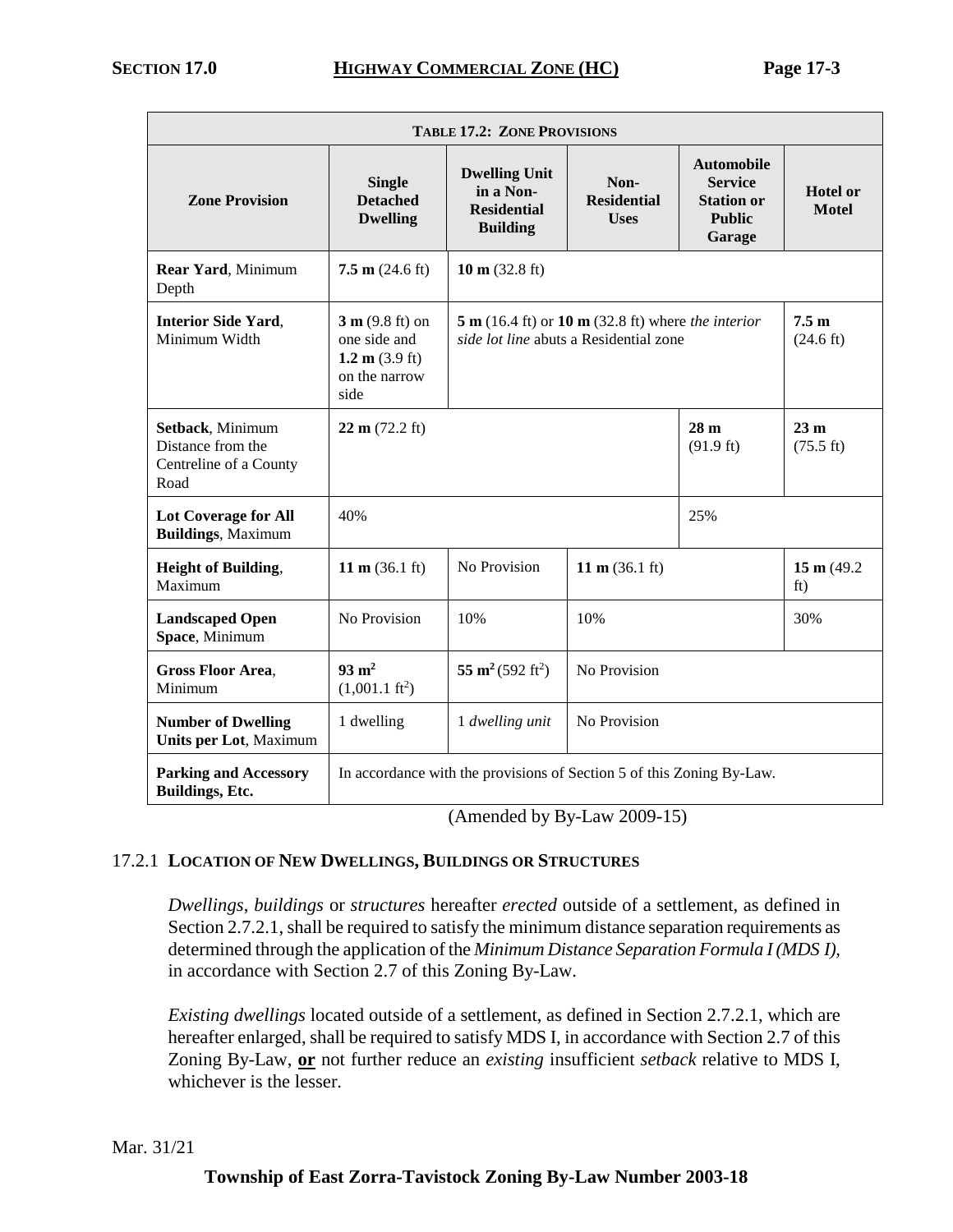| <b>TABLE 17.2: ZONE PROVISIONS</b>                                      |                                                                                        |                                                                                                                                             |                                           |                                                                                     |                                        |  |  |  |
|-------------------------------------------------------------------------|----------------------------------------------------------------------------------------|---------------------------------------------------------------------------------------------------------------------------------------------|-------------------------------------------|-------------------------------------------------------------------------------------|----------------------------------------|--|--|--|
| <b>Zone Provision</b>                                                   | <b>Single</b><br><b>Detached</b><br><b>Dwelling</b>                                    | <b>Dwelling Unit</b><br>in a Non-<br><b>Residential</b><br><b>Building</b>                                                                  | Non-<br><b>Residential</b><br><b>Uses</b> | <b>Automobile</b><br><b>Service</b><br><b>Station or</b><br><b>Public</b><br>Garage | <b>Hotel or</b><br><b>Motel</b>        |  |  |  |
| Rear Yard, Minimum<br>Depth                                             | 7.5 m $(24.6 \text{ ft})$                                                              | 10 m $(32.8 \text{ ft})$                                                                                                                    |                                           |                                                                                     |                                        |  |  |  |
| <b>Interior Side Yard,</b><br>Minimum Width                             | $3 m (9.8 ft)$ on<br>one side and<br>1.2 m $(3.9 \text{ ft})$<br>on the narrow<br>side | 7.5 <sub>m</sub><br>$5 m (16.4 ft)$ or $10 m (32.8 ft)$ where the interior<br>side lot line abuts a Residential zone<br>$(24.6 \text{ ft})$ |                                           |                                                                                     |                                        |  |  |  |
| Setback, Minimum<br>Distance from the<br>Centreline of a County<br>Road | $22 \text{ m} (72.2 \text{ ft})$                                                       |                                                                                                                                             |                                           | 28 <sub>m</sub><br>$(91.9 \text{ ft})$                                              | 23 <sub>m</sub><br>$(75.5 \text{ ft})$ |  |  |  |
| <b>Lot Coverage for All</b><br><b>Buildings, Maximum</b>                | 40%                                                                                    |                                                                                                                                             |                                           | 25%                                                                                 |                                        |  |  |  |
| <b>Height of Building,</b><br>Maximum                                   | 11 m $(36.1 \text{ ft})$                                                               | No Provision                                                                                                                                | 11 m $(36.1 \text{ ft})$                  |                                                                                     | 15 m (49.2)<br>ft)                     |  |  |  |
| <b>Landscaped Open</b><br>Space, Minimum                                | No Provision                                                                           | 10%                                                                                                                                         | 10%                                       |                                                                                     | 30%                                    |  |  |  |
| <b>Gross Floor Area,</b><br>Minimum                                     | $93 \text{ m}^2$<br>$(1,001.1 \text{ ft}^2)$                                           | 55 m <sup>2</sup> (592 ft <sup>2</sup> )                                                                                                    | No Provision                              |                                                                                     |                                        |  |  |  |
| <b>Number of Dwelling</b><br><b>Units per Lot, Maximum</b>              | 1 dwelling                                                                             | 1 dwelling unit                                                                                                                             | No Provision                              |                                                                                     |                                        |  |  |  |
| <b>Parking and Accessory</b><br>Buildings, Etc.                         | In accordance with the provisions of Section 5 of this Zoning By-Law.                  |                                                                                                                                             |                                           |                                                                                     |                                        |  |  |  |

(Amended by By-Law 2009-15)

## 17.2.1 **LOCATION OF NEW DWELLINGS, BUILDINGS OR STRUCTURES**

*Dwellings*, *buildings* or *structures* hereafter *erected* outside of a settlement, as defined in Section 2.7.2.1, shall be required to satisfy the minimum distance separation requirements as determined through the application of the *Minimum Distance Separation Formula I (MDS I),* in accordance with Section 2.7 of this Zoning By-Law.

*Existing dwellings* located outside of a settlement, as defined in Section 2.7.2.1, which are hereafter enlarged, shall be required to satisfy MDS I, in accordance with Section 2.7 of this Zoning By-Law, **or** not further reduce an *existing* insufficient *setback* relative to MDS I, whichever is the lesser.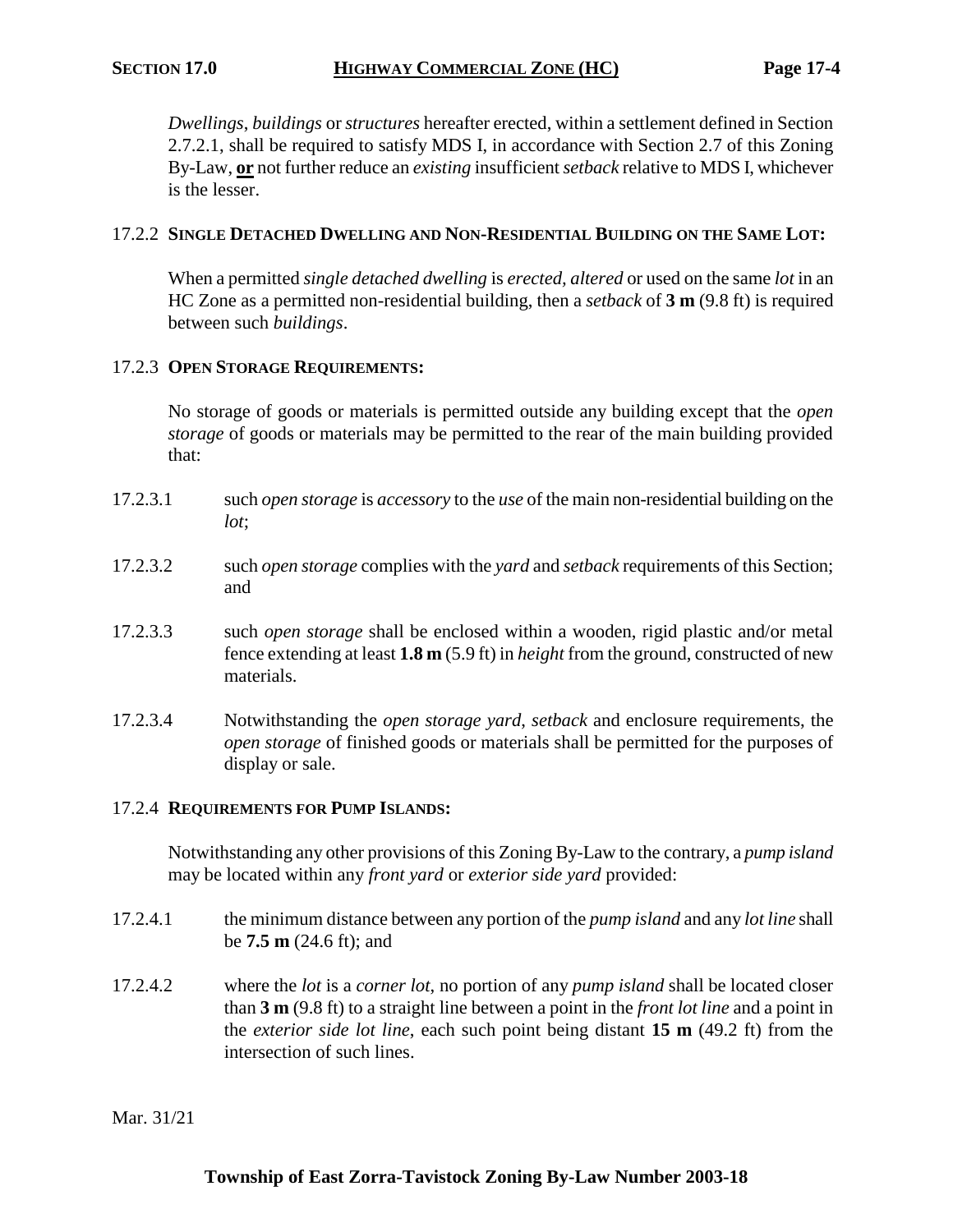*Dwellings*, *buildings* or *structures* hereafter erected, within a settlement defined in Section 2.7.2.1, shall be required to satisfy MDS I, in accordance with Section 2.7 of this Zoning By-Law, **or** not further reduce an *existing* insufficient *setback* relative to MDS I, whichever is the lesser.

#### 17.2.2 **SINGLE DETACHED DWELLING AND NON-RESIDENTIAL BUILDING ON THE SAME LOT:**

When a permitted *single detached dwelling* is *erected, altered* or used on the same *lot* in an HC Zone as a permitted non-residential building, then a *setback* of **3 m** (9.8 ft) is required between such *buildings*.

#### 17.2.3 **OPEN STORAGE REQUIREMENTS:**

No storage of goods or materials is permitted outside any building except that the *open storage* of goods or materials may be permitted to the rear of the main building provided that:

- 17.2.3.1 such *open storage* is *accessory* to the *use* of the main non-residential building on the *lot*;
- 17.2.3.2 such *open storage* complies with the *yard* and *setback* requirements of this Section; and
- 17.2.3.3 such *open storage* shall be enclosed within a wooden, rigid plastic and/or metal fence extending at least **1.8 m** (5.9 ft) in *height* from the ground, constructed of new materials.
- 17.2.3.4 Notwithstanding the *open storage yard*, *setback* and enclosure requirements, the *open storage* of finished goods or materials shall be permitted for the purposes of display or sale.

#### 17.2.4 **REQUIREMENTS FOR PUMP ISLANDS:**

Notwithstanding any other provisions of this Zoning By-Law to the contrary, a *pump island* may be located within any *front yard* or *exterior side yard* provided:

- 17.2.4.1 the minimum distance between any portion of the *pump island* and any *lot line* shall be **7.5 m** (24.6 ft); and
- 17.2.4.2 where the *lot* is a *corner lot*, no portion of any *pump island* shall be located closer than **3 m** (9.8 ft) to a straight line between a point in the *front lot line* and a point in the *exterior side lot line*, each such point being distant **15 m** (49.2 ft) from the intersection of such lines.

#### Mar. 31/21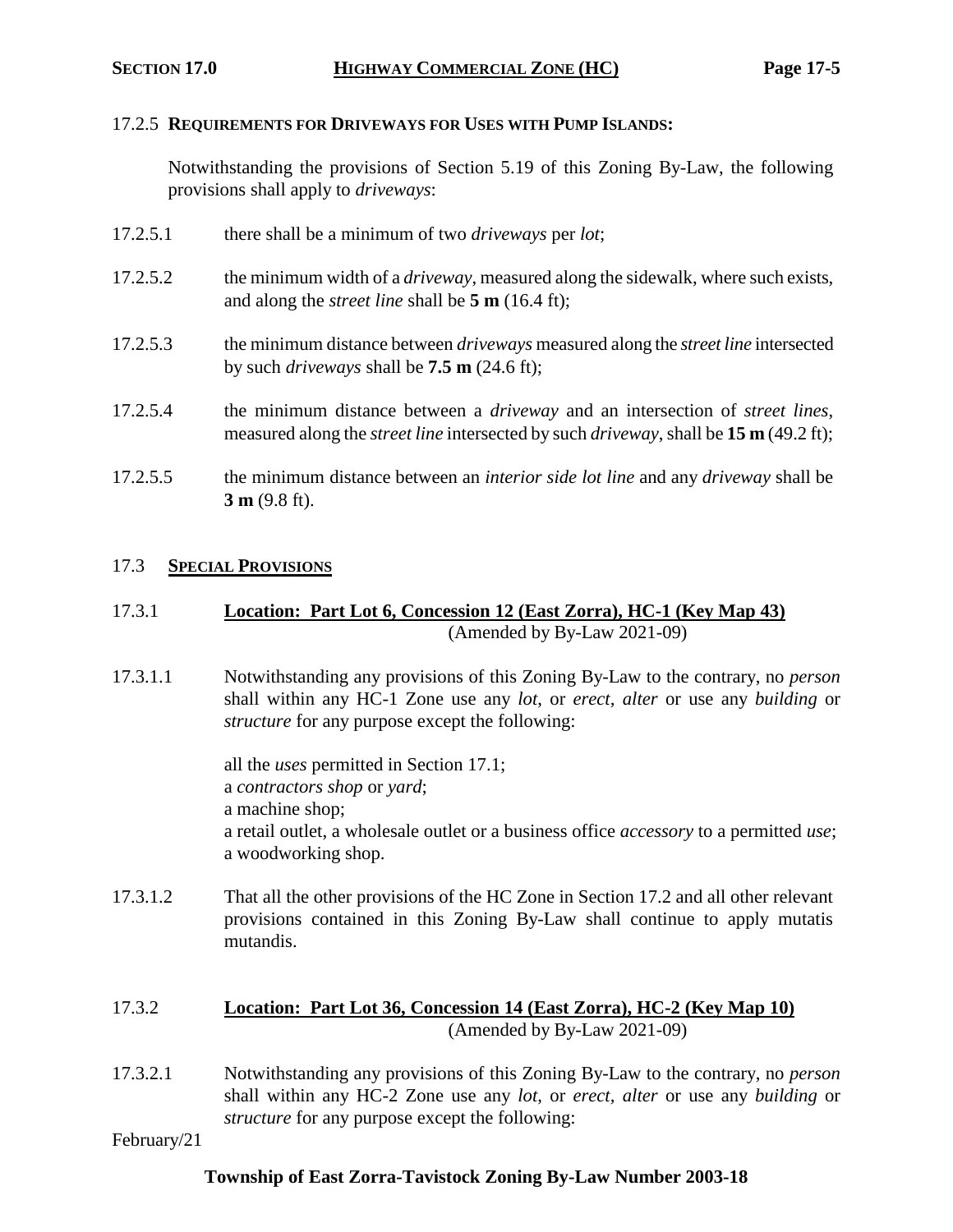#### 17.2.5 **REQUIREMENTS FOR DRIVEWAYS FOR USES WITH PUMP ISLANDS:**

Notwithstanding the provisions of Section 5.19 of this Zoning By-Law, the following provisions shall apply to *driveways*:

- 17.2.5.1 there shall be a minimum of two *driveways* per *lot*;
- 17.2.5.2 the minimum width of a *driveway*, measured along the sidewalk, where such exists, and along the *street line* shall be **5 m** (16.4 ft);
- 17.2.5.3 the minimum distance between *driveways* measured along the *street line* intersected by such *driveways* shall be **7.5 m** (24.6 ft);
- 17.2.5.4 the minimum distance between a *driveway* and an intersection of *street lines*, measured along the *street line* intersected by such *driveway*, shall be **15 m** (49.2 ft);
- 17.2.5.5 the minimum distance between an *interior side lot line* and any *driveway* shall be **3 m** (9.8 ft).

#### 17.3 **SPECIAL PROVISIONS**

## 17.3.1 **Location: Part Lot 6, Concession 12 (East Zorra), HC-1 (Key Map 43)** (Amended by By-Law 2021-09)

17.3.1.1 Notwithstanding any provisions of this Zoning By-Law to the contrary, no *person* shall within any HC-1 Zone use any *lot*, or *erect, alter* or use any *building* or *structure* for any purpose except the following:

> all the *uses* permitted in Section 17.1; a *contractors shop* or *yard*; a machine shop; a retail outlet, a wholesale outlet or a business office *accessory* to a permitted *use*; a woodworking shop.

17.3.1.2 That all the other provisions of the HC Zone in Section 17.2 and all other relevant provisions contained in this Zoning By-Law shall continue to apply mutatis mutandis.

## 17.3.2 **Location: Part Lot 36, Concession 14 (East Zorra), HC-2 (Key Map 10)** (Amended by By-Law 2021-09)

17.3.2.1 Notwithstanding any provisions of this Zoning By-Law to the contrary, no *person* shall within any HC-2 Zone use any *lot*, or *erect, alter* or use any *building* or *structure* for any purpose except the following:

February/21

## **Township of East Zorra-Tavistock Zoning By-Law Number 2003-18**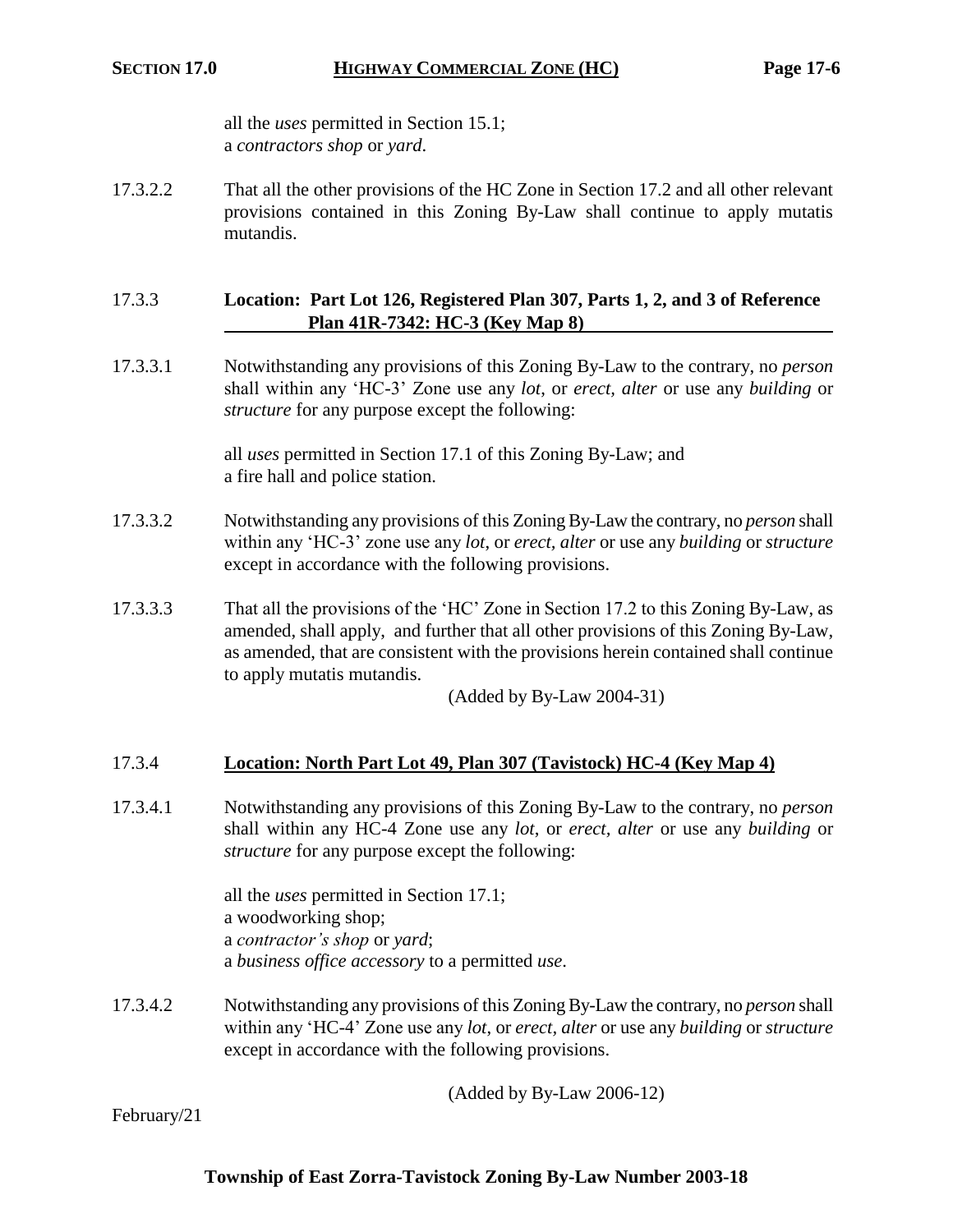all the *uses* permitted in Section 15.1; a *contractors shop* or *yard*.

17.3.2.2 That all the other provisions of the HC Zone in Section 17.2 and all other relevant provisions contained in this Zoning By-Law shall continue to apply mutatis mutandis.

## 17.3.3 **Location: Part Lot 126, Registered Plan 307, Parts 1, 2, and 3 of Reference Plan 41R-7342: HC-3 (Key Map 8)**

17.3.3.1 Notwithstanding any provisions of this Zoning By-Law to the contrary, no *person* shall within any 'HC-3' Zone use any *lot*, or *erect, alter* or use any *building* or *structure* for any purpose except the following:

> all *uses* permitted in Section 17.1 of this Zoning By-Law; and a fire hall and police station.

- 17.3.3.2 Notwithstanding any provisions of this Zoning By-Law the contrary, no *person* shall within any 'HC-3' zone use any *lot*, or *erect, alter* or use any *building* or *structure* except in accordance with the following provisions.
- 17.3.3.3 That all the provisions of the 'HC' Zone in Section 17.2 to this Zoning By-Law, as amended, shall apply, and further that all other provisions of this Zoning By-Law, as amended, that are consistent with the provisions herein contained shall continue to apply mutatis mutandis.

(Added by By-Law 2004-31)

## 17.3.4 **Location: North Part Lot 49, Plan 307 (Tavistock) HC-4 (Key Map 4)**

17.3.4.1 Notwithstanding any provisions of this Zoning By-Law to the contrary, no *person* shall within any HC-4 Zone use any *lot*, or *erect, alter* or use any *building* or *structure* for any purpose except the following:

> all the *uses* permitted in Section 17.1; a woodworking shop; a *contractor's shop* or *yard*; a *business office accessory* to a permitted *use*.

17.3.4.2 Notwithstanding any provisions of this Zoning By-Law the contrary, no *person* shall within any 'HC-4' Zone use any *lot*, or *erect, alter* or use any *building* or *structure* except in accordance with the following provisions.

(Added by By-Law 2006-12)

February/21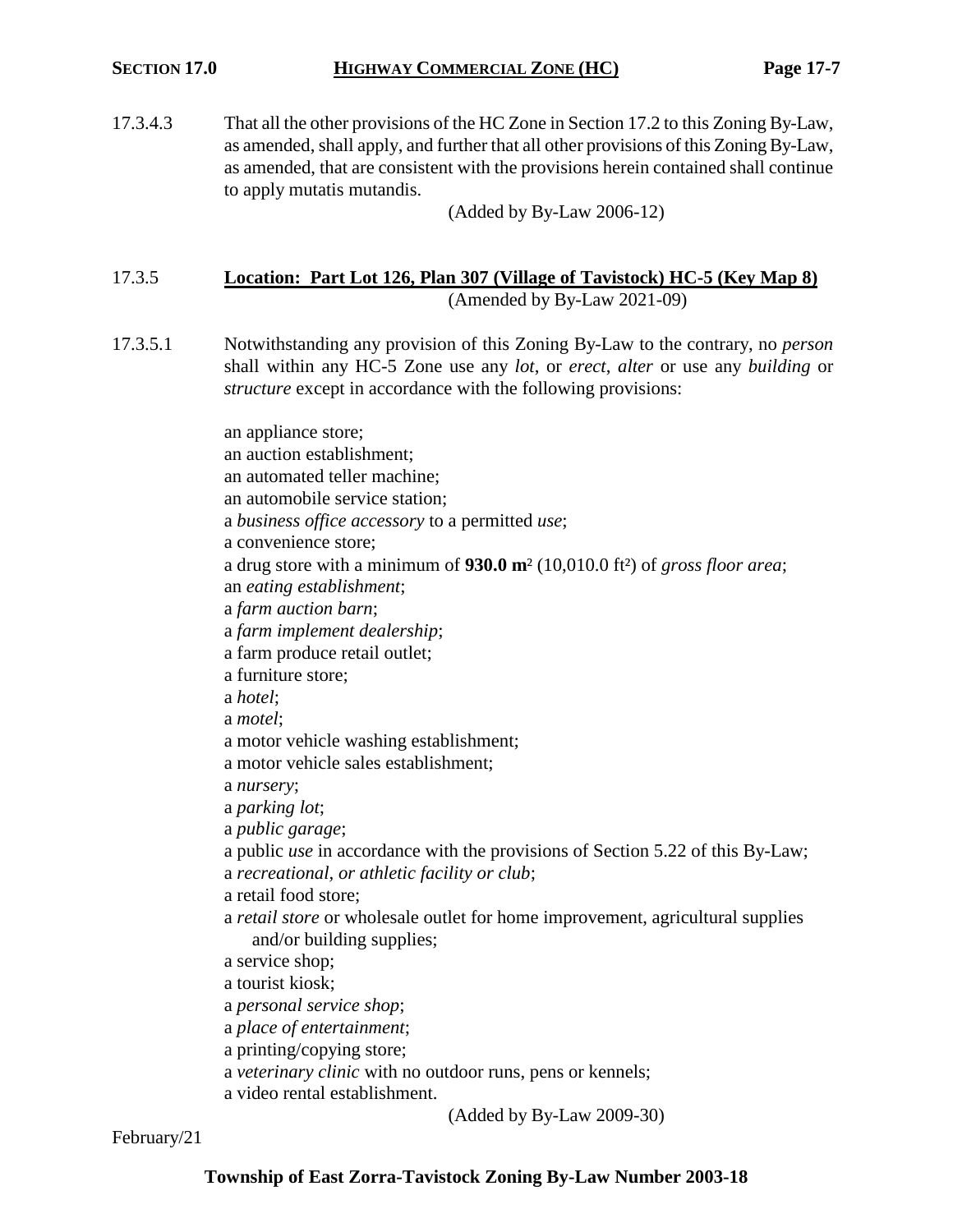17.3.4.3 That all the other provisions of the HC Zone in Section 17.2 to this Zoning By-Law, as amended, shall apply, and further that all other provisions of this Zoning By-Law, as amended, that are consistent with the provisions herein contained shall continue to apply mutatis mutandis.

(Added by By-Law 2006-12)

#### 17.3.5 **Location: Part Lot 126, Plan 307 (Village of Tavistock) HC-5 (Key Map 8)** (Amended by By-Law 2021-09)

17.3.5.1 Notwithstanding any provision of this Zoning By-Law to the contrary, no *person* shall within any HC-5 Zone use any *lot*, or *erect*, *alter* or use any *building* or *structure* except in accordance with the following provisions:

> an appliance store; an auction establishment; an automated teller machine; an automobile service station; a *business office accessory* to a permitted *use*; a convenience store; a drug store with a minimum of **930.0 m**² (10,010.0 ft²) of *gross floor area*; an *eating establishment*; a *farm auction barn*; a *farm implement dealership*; a farm produce retail outlet; a furniture store; a *hotel*; a *motel*; a motor vehicle washing establishment; a motor vehicle sales establishment; a *nursery*; a *parking lot*; a *public garage*; a public *use* in accordance with the provisions of Section 5.22 of this By-Law; a *recreational, or athletic facility or club*; a retail food store; a *retail store* or wholesale outlet for home improvement, agricultural supplies and/or building supplies; a service shop; a tourist kiosk; a *personal service shop*; a *place of entertainment*; a printing/copying store; a *veterinary clinic* with no outdoor runs, pens or kennels; a video rental establishment.

> > (Added by By-Law 2009-30)

February/21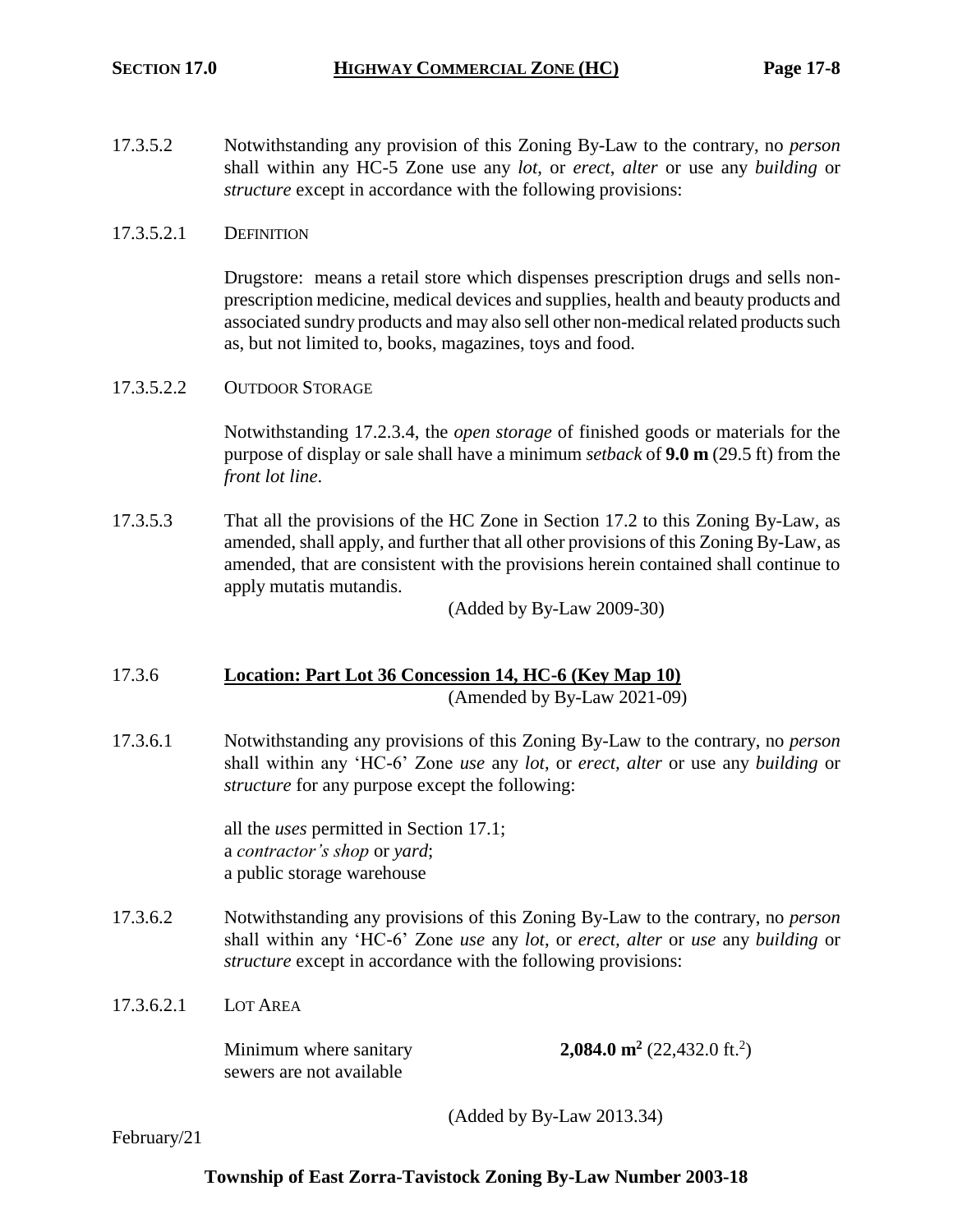17.3.5.2 Notwithstanding any provision of this Zoning By-Law to the contrary, no *person* shall within any HC-5 Zone use any *lot*, or *erect*, *alter* or use any *building* or *structure* except in accordance with the following provisions:

#### 17.3.5.2.1 DEFINITION

Drugstore: means a retail store which dispenses prescription drugs and sells nonprescription medicine, medical devices and supplies, health and beauty products and associated sundry products and may also sell other non-medical related products such as, but not limited to, books, magazines, toys and food.

#### 17.3.5.2.2 OUTDOOR STORAGE

Notwithstanding 17.2.3.4, the *open storage* of finished goods or materials for the purpose of display or sale shall have a minimum *setback* of **9.0 m** (29.5 ft) from the *front lot line*.

17.3.5.3 That all the provisions of the HC Zone in Section 17.2 to this Zoning By-Law, as amended, shall apply, and further that all other provisions of this Zoning By-Law, as amended, that are consistent with the provisions herein contained shall continue to apply mutatis mutandis.

(Added by By-Law 2009-30)

# 17.3.6 **Location: Part Lot 36 Concession 14, HC-6 (Key Map 10)**

(Amended by By-Law 2021-09)

17.3.6.1 Notwithstanding any provisions of this Zoning By-Law to the contrary, no *person* shall within any 'HC-6' Zone *use* any *lot*, or *erect, alter* or use any *building* or *structure* for any purpose except the following:

> all the *uses* permitted in Section 17.1; a *contractor's shop* or *yard*; a public storage warehouse

17.3.6.2 Notwithstanding any provisions of this Zoning By-Law to the contrary, no *person* shall within any 'HC-6' Zone *use* any *lot*, or *erect, alter* or *use* any *building* or *structure* except in accordance with the following provisions:

#### 17.3.6.2.1 LOT AREA

Minimum where sanitary **2,084.0 m<sup>2</sup>** sewers are not available

 $(22, 432.0 \text{ ft.}^2)$ 

(Added by By-Law 2013.34)

February/21

## **Township of East Zorra-Tavistock Zoning By-Law Number 2003-18**